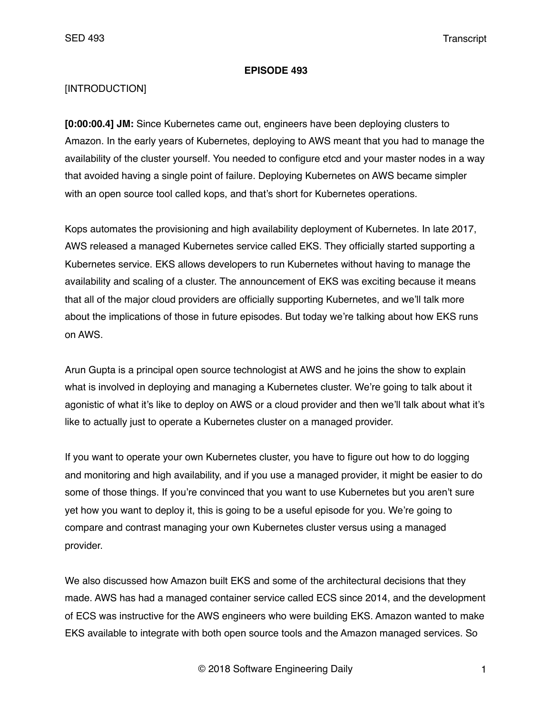#### **EPISODE 493**

# [INTRODUCTION]

**[0:00:00.4] JM:** Since Kubernetes came out, engineers have been deploying clusters to Amazon. In the early years of Kubernetes, deploying to AWS meant that you had to manage the availability of the cluster yourself. You needed to configure etcd and your master nodes in a way that avoided having a single point of failure. Deploying Kubernetes on AWS became simpler with an open source tool called kops, and that's short for Kubernetes operations.

Kops automates the provisioning and high availability deployment of Kubernetes. In late 2017, AWS released a managed Kubernetes service called EKS. They officially started supporting a Kubernetes service. EKS allows developers to run Kubernetes without having to manage the availability and scaling of a cluster. The announcement of EKS was exciting because it means that all of the major cloud providers are officially supporting Kubernetes, and we'll talk more about the implications of those in future episodes. But today we're talking about how EKS runs on AWS.

Arun Gupta is a principal open source technologist at AWS and he joins the show to explain what is involved in deploying and managing a Kubernetes cluster. We're going to talk about it agonistic of what it's like to deploy on AWS or a cloud provider and then we'll talk about what it's like to actually just to operate a Kubernetes cluster on a managed provider.

If you want to operate your own Kubernetes cluster, you have to figure out how to do logging and monitoring and high availability, and if you use a managed provider, it might be easier to do some of those things. If you're convinced that you want to use Kubernetes but you aren't sure yet how you want to deploy it, this is going to be a useful episode for you. We're going to compare and contrast managing your own Kubernetes cluster versus using a managed provider.

We also discussed how Amazon built EKS and some of the architectural decisions that they made. AWS has had a managed container service called ECS since 2014, and the development of ECS was instructive for the AWS engineers who were building EKS. Amazon wanted to make EKS available to integrate with both open source tools and the Amazon managed services. So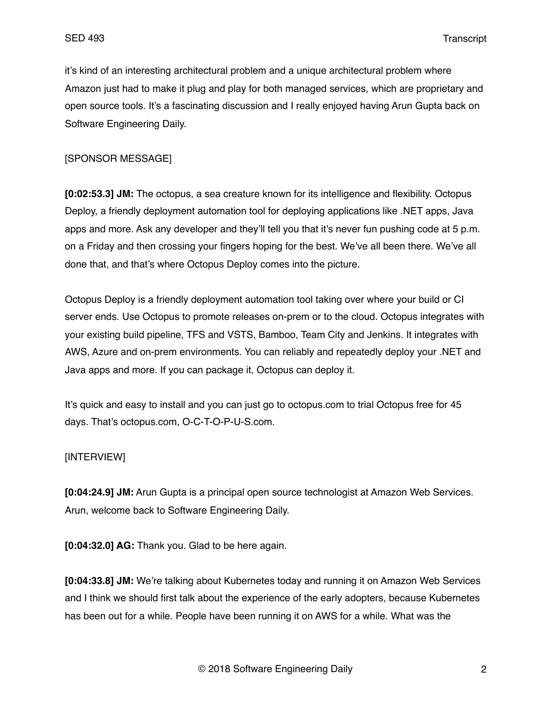it's kind of an interesting architectural problem and a unique architectural problem where Amazon just had to make it plug and play for both managed services, which are proprietary and open source tools. It's a fascinating discussion and I really enjoyed having Arun Gupta back on Software Engineering Daily.

# [SPONSOR MESSAGE]

**[0:02:53.3] JM:** The octopus, a sea creature known for its intelligence and flexibility. Octopus Deploy, a friendly deployment automation tool for deploying applications like .NET apps, Java apps and more. Ask any developer and they'll tell you that it's never fun pushing code at 5 p.m. on a Friday and then crossing your fingers hoping for the best. We've all been there. We've all done that, and that's where Octopus Deploy comes into the picture.

Octopus Deploy is a friendly deployment automation tool taking over where your build or CI server ends. Use Octopus to promote releases on-prem or to the cloud. Octopus integrates with your existing build pipeline, TFS and VSTS, Bamboo, Team City and Jenkins. It integrates with AWS, Azure and on-prem environments. You can reliably and repeatedly deploy your .NET and Java apps and more. If you can package it, Octopus can deploy it.

It's quick and easy to install and you can just go to octopus.com to trial Octopus free for 45 days. That's octopus.com, O-C-T-O-P-U-S.com.

# [INTERVIEW]

**[0:04:24.9] JM:** Arun Gupta is a principal open source technologist at Amazon Web Services. Arun, welcome back to Software Engineering Daily.

**[0:04:32.0] AG:** Thank you. Glad to be here again.

**[0:04:33.8] JM:** We're talking about Kubernetes today and running it on Amazon Web Services and I think we should first talk about the experience of the early adopters, because Kubernetes has been out for a while. People have been running it on AWS for a while. What was the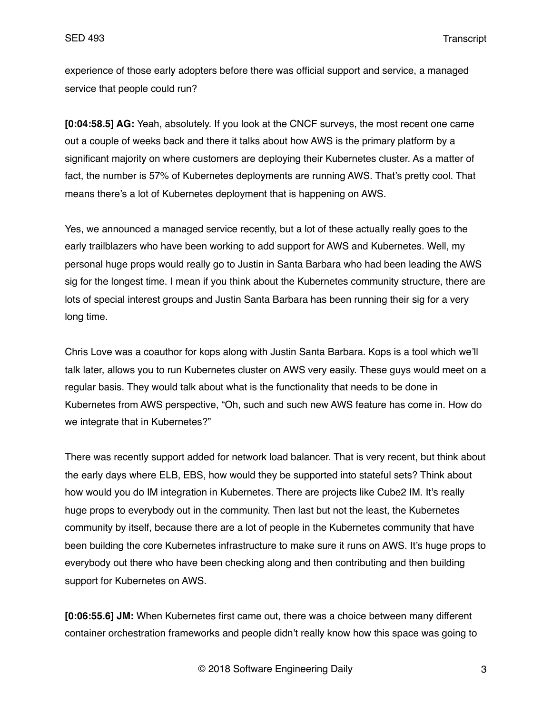experience of those early adopters before there was official support and service, a managed service that people could run?

**[0:04:58.5] AG:** Yeah, absolutely. If you look at the CNCF surveys, the most recent one came out a couple of weeks back and there it talks about how AWS is the primary platform by a significant majority on where customers are deploying their Kubernetes cluster. As a matter of fact, the number is 57% of Kubernetes deployments are running AWS. That's pretty cool. That means there's a lot of Kubernetes deployment that is happening on AWS.

Yes, we announced a managed service recently, but a lot of these actually really goes to the early trailblazers who have been working to add support for AWS and Kubernetes. Well, my personal huge props would really go to Justin in Santa Barbara who had been leading the AWS sig for the longest time. I mean if you think about the Kubernetes community structure, there are lots of special interest groups and Justin Santa Barbara has been running their sig for a very long time.

Chris Love was a coauthor for kops along with Justin Santa Barbara. Kops is a tool which we'll talk later, allows you to run Kubernetes cluster on AWS very easily. These guys would meet on a regular basis. They would talk about what is the functionality that needs to be done in Kubernetes from AWS perspective, "Oh, such and such new AWS feature has come in. How do we integrate that in Kubernetes?"

There was recently support added for network load balancer. That is very recent, but think about the early days where ELB, EBS, how would they be supported into stateful sets? Think about how would you do IM integration in Kubernetes. There are projects like Cube2 IM. It's really huge props to everybody out in the community. Then last but not the least, the Kubernetes community by itself, because there are a lot of people in the Kubernetes community that have been building the core Kubernetes infrastructure to make sure it runs on AWS. It's huge props to everybody out there who have been checking along and then contributing and then building support for Kubernetes on AWS.

**[0:06:55.6] JM:** When Kubernetes first came out, there was a choice between many different container orchestration frameworks and people didn't really know how this space was going to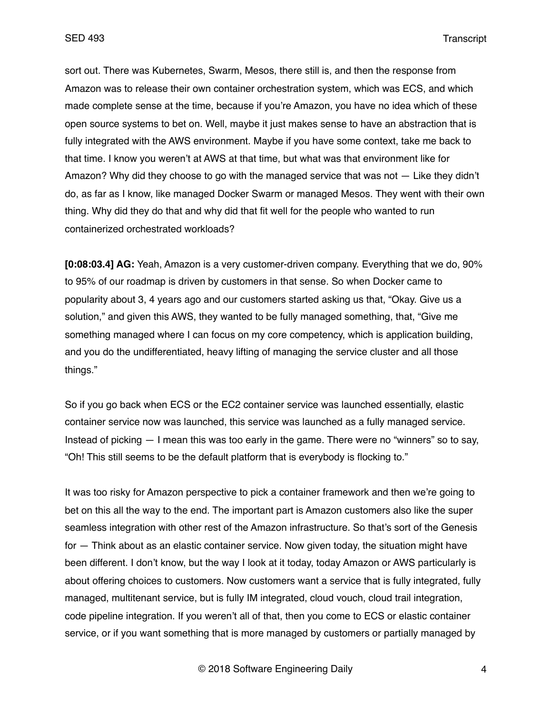sort out. There was Kubernetes, Swarm, Mesos, there still is, and then the response from Amazon was to release their own container orchestration system, which was ECS, and which made complete sense at the time, because if you're Amazon, you have no idea which of these open source systems to bet on. Well, maybe it just makes sense to have an abstraction that is fully integrated with the AWS environment. Maybe if you have some context, take me back to that time. I know you weren't at AWS at that time, but what was that environment like for Amazon? Why did they choose to go with the managed service that was not — Like they didn't do, as far as I know, like managed Docker Swarm or managed Mesos. They went with their own thing. Why did they do that and why did that fit well for the people who wanted to run containerized orchestrated workloads?

**[0:08:03.4] AG:** Yeah, Amazon is a very customer-driven company. Everything that we do, 90% to 95% of our roadmap is driven by customers in that sense. So when Docker came to popularity about 3, 4 years ago and our customers started asking us that, "Okay. Give us a solution," and given this AWS, they wanted to be fully managed something, that, "Give me something managed where I can focus on my core competency, which is application building, and you do the undifferentiated, heavy lifting of managing the service cluster and all those things."

So if you go back when ECS or the EC2 container service was launched essentially, elastic container service now was launched, this service was launched as a fully managed service. Instead of picking — I mean this was too early in the game. There were no "winners" so to say, "Oh! This still seems to be the default platform that is everybody is flocking to."

It was too risky for Amazon perspective to pick a container framework and then we're going to bet on this all the way to the end. The important part is Amazon customers also like the super seamless integration with other rest of the Amazon infrastructure. So that's sort of the Genesis for — Think about as an elastic container service. Now given today, the situation might have been different. I don't know, but the way I look at it today, today Amazon or AWS particularly is about offering choices to customers. Now customers want a service that is fully integrated, fully managed, multitenant service, but is fully IM integrated, cloud vouch, cloud trail integration, code pipeline integration. If you weren't all of that, then you come to ECS or elastic container service, or if you want something that is more managed by customers or partially managed by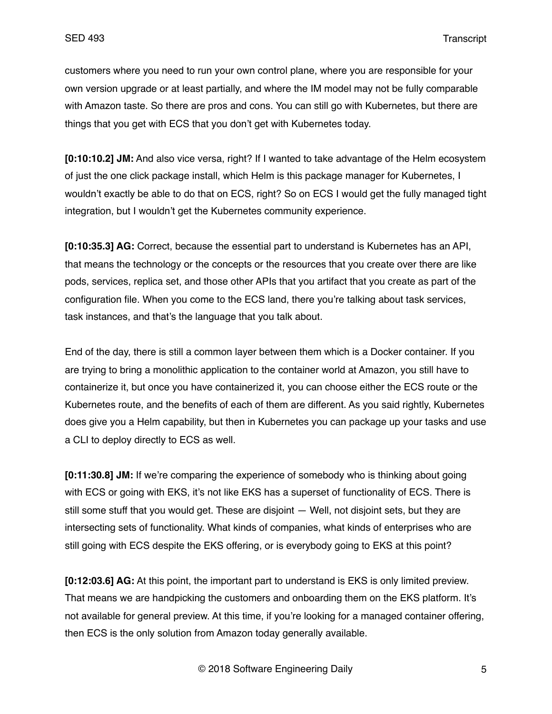customers where you need to run your own control plane, where you are responsible for your own version upgrade or at least partially, and where the IM model may not be fully comparable with Amazon taste. So there are pros and cons. You can still go with Kubernetes, but there are things that you get with ECS that you don't get with Kubernetes today.

**[0:10:10.2] JM:** And also vice versa, right? If I wanted to take advantage of the Helm ecosystem of just the one click package install, which Helm is this package manager for Kubernetes, I wouldn't exactly be able to do that on ECS, right? So on ECS I would get the fully managed tight integration, but I wouldn't get the Kubernetes community experience.

**[0:10:35.3] AG:** Correct, because the essential part to understand is Kubernetes has an API, that means the technology or the concepts or the resources that you create over there are like pods, services, replica set, and those other APIs that you artifact that you create as part of the configuration file. When you come to the ECS land, there you're talking about task services, task instances, and that's the language that you talk about.

End of the day, there is still a common layer between them which is a Docker container. If you are trying to bring a monolithic application to the container world at Amazon, you still have to containerize it, but once you have containerized it, you can choose either the ECS route or the Kubernetes route, and the benefits of each of them are different. As you said rightly, Kubernetes does give you a Helm capability, but then in Kubernetes you can package up your tasks and use a CLI to deploy directly to ECS as well.

**[0:11:30.8] JM:** If we're comparing the experience of somebody who is thinking about going with ECS or going with EKS, it's not like EKS has a superset of functionality of ECS. There is still some stuff that you would get. These are disjoint — Well, not disjoint sets, but they are intersecting sets of functionality. What kinds of companies, what kinds of enterprises who are still going with ECS despite the EKS offering, or is everybody going to EKS at this point?

**[0:12:03.6] AG:** At this point, the important part to understand is EKS is only limited preview. That means we are handpicking the customers and onboarding them on the EKS platform. It's not available for general preview. At this time, if you're looking for a managed container offering, then ECS is the only solution from Amazon today generally available.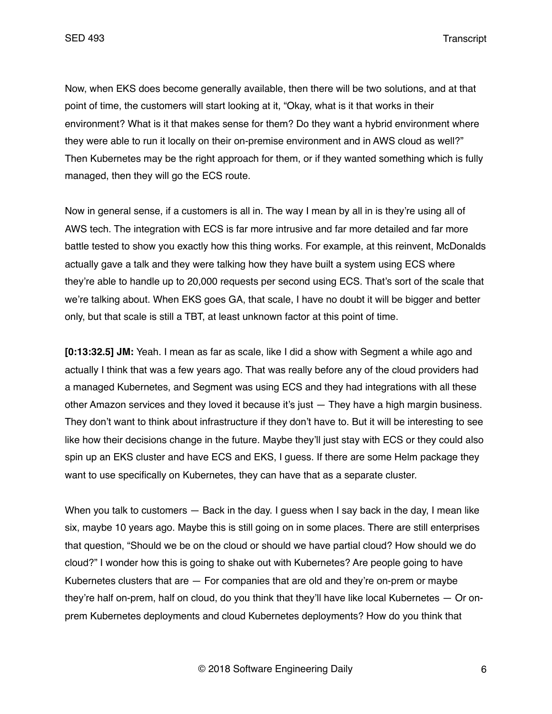Now, when EKS does become generally available, then there will be two solutions, and at that point of time, the customers will start looking at it, "Okay, what is it that works in their environment? What is it that makes sense for them? Do they want a hybrid environment where they were able to run it locally on their on-premise environment and in AWS cloud as well?" Then Kubernetes may be the right approach for them, or if they wanted something which is fully managed, then they will go the ECS route.

Now in general sense, if a customers is all in. The way I mean by all in is they're using all of AWS tech. The integration with ECS is far more intrusive and far more detailed and far more battle tested to show you exactly how this thing works. For example, at this reinvent, McDonalds actually gave a talk and they were talking how they have built a system using ECS where they're able to handle up to 20,000 requests per second using ECS. That's sort of the scale that we're talking about. When EKS goes GA, that scale, I have no doubt it will be bigger and better only, but that scale is still a TBT, at least unknown factor at this point of time.

**[0:13:32.5] JM:** Yeah. I mean as far as scale, like I did a show with Segment a while ago and actually I think that was a few years ago. That was really before any of the cloud providers had a managed Kubernetes, and Segment was using ECS and they had integrations with all these other Amazon services and they loved it because it's just — They have a high margin business. They don't want to think about infrastructure if they don't have to. But it will be interesting to see like how their decisions change in the future. Maybe they'll just stay with ECS or they could also spin up an EKS cluster and have ECS and EKS, I guess. If there are some Helm package they want to use specifically on Kubernetes, they can have that as a separate cluster.

When you talk to customers — Back in the day. I guess when I say back in the day, I mean like six, maybe 10 years ago. Maybe this is still going on in some places. There are still enterprises that question, "Should we be on the cloud or should we have partial cloud? How should we do cloud?" I wonder how this is going to shake out with Kubernetes? Are people going to have Kubernetes clusters that are  $-$  For companies that are old and they're on-prem or maybe they're half on-prem, half on cloud, do you think that they'll have like local Kubernetes — Or onprem Kubernetes deployments and cloud Kubernetes deployments? How do you think that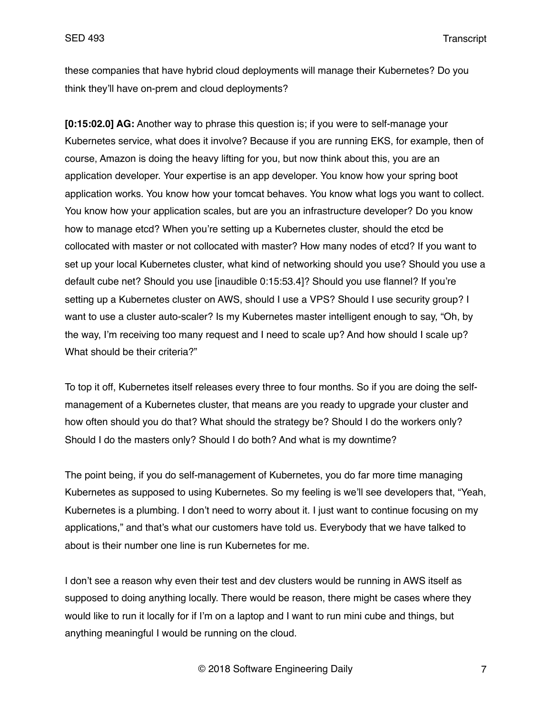these companies that have hybrid cloud deployments will manage their Kubernetes? Do you think they'll have on-prem and cloud deployments?

**[0:15:02.0] AG:** Another way to phrase this question is; if you were to self-manage your Kubernetes service, what does it involve? Because if you are running EKS, for example, then of course, Amazon is doing the heavy lifting for you, but now think about this, you are an application developer. Your expertise is an app developer. You know how your spring boot application works. You know how your tomcat behaves. You know what logs you want to collect. You know how your application scales, but are you an infrastructure developer? Do you know how to manage etcd? When you're setting up a Kubernetes cluster, should the etcd be collocated with master or not collocated with master? How many nodes of etcd? If you want to set up your local Kubernetes cluster, what kind of networking should you use? Should you use a default cube net? Should you use [inaudible 0:15:53.4]? Should you use flannel? If you're setting up a Kubernetes cluster on AWS, should I use a VPS? Should I use security group? I want to use a cluster auto-scaler? Is my Kubernetes master intelligent enough to say, "Oh, by the way, I'm receiving too many request and I need to scale up? And how should I scale up? What should be their criteria?"

To top it off, Kubernetes itself releases every three to four months. So if you are doing the selfmanagement of a Kubernetes cluster, that means are you ready to upgrade your cluster and how often should you do that? What should the strategy be? Should I do the workers only? Should I do the masters only? Should I do both? And what is my downtime?

The point being, if you do self-management of Kubernetes, you do far more time managing Kubernetes as supposed to using Kubernetes. So my feeling is we'll see developers that, "Yeah, Kubernetes is a plumbing. I don't need to worry about it. I just want to continue focusing on my applications," and that's what our customers have told us. Everybody that we have talked to about is their number one line is run Kubernetes for me.

I don't see a reason why even their test and dev clusters would be running in AWS itself as supposed to doing anything locally. There would be reason, there might be cases where they would like to run it locally for if I'm on a laptop and I want to run mini cube and things, but anything meaningful I would be running on the cloud.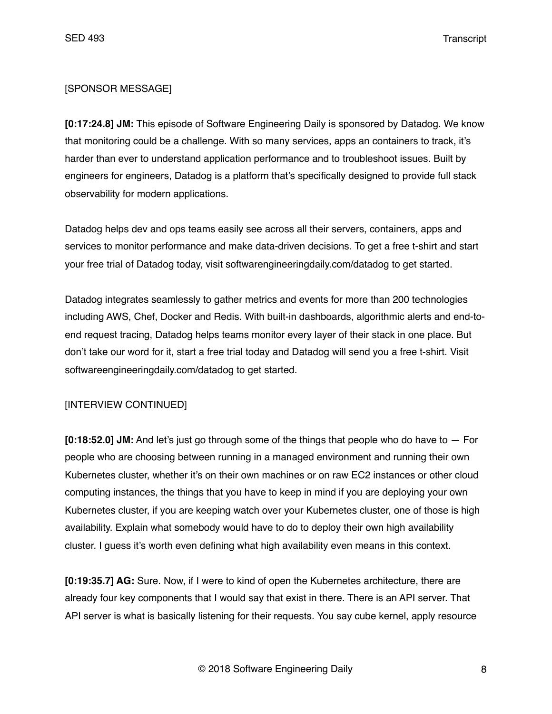# [SPONSOR MESSAGE]

**[0:17:24.8] JM:** This episode of Software Engineering Daily is sponsored by Datadog. We know that monitoring could be a challenge. With so many services, apps an containers to track, it's harder than ever to understand application performance and to troubleshoot issues. Built by engineers for engineers, Datadog is a platform that's specifically designed to provide full stack observability for modern applications.

Datadog helps dev and ops teams easily see across all their servers, containers, apps and services to monitor performance and make data-driven decisions. To get a free t-shirt and start your free trial of Datadog today, visit softwarengineeringdaily.com/datadog to get started.

Datadog integrates seamlessly to gather metrics and events for more than 200 technologies including AWS, Chef, Docker and Redis. With built-in dashboards, algorithmic alerts and end-toend request tracing, Datadog helps teams monitor every layer of their stack in one place. But don't take our word for it, start a free trial today and Datadog will send you a free t-shirt. Visit softwareengineeringdaily.com/datadog to get started.

# [INTERVIEW CONTINUED]

**[0:18:52.0] JM:** And let's just go through some of the things that people who do have to — For people who are choosing between running in a managed environment and running their own Kubernetes cluster, whether it's on their own machines or on raw EC2 instances or other cloud computing instances, the things that you have to keep in mind if you are deploying your own Kubernetes cluster, if you are keeping watch over your Kubernetes cluster, one of those is high availability. Explain what somebody would have to do to deploy their own high availability cluster. I guess it's worth even defining what high availability even means in this context.

**[0:19:35.7] AG:** Sure. Now, if I were to kind of open the Kubernetes architecture, there are already four key components that I would say that exist in there. There is an API server. That API server is what is basically listening for their requests. You say cube kernel, apply resource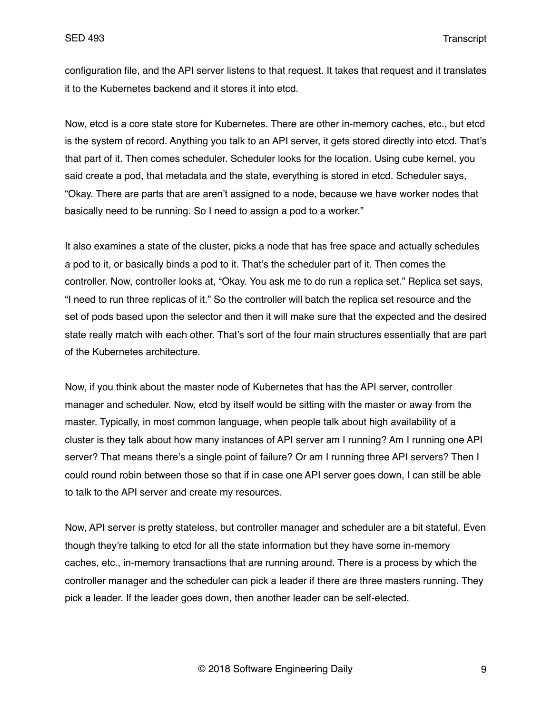configuration file, and the API server listens to that request. It takes that request and it translates it to the Kubernetes backend and it stores it into etcd.

Now, etcd is a core state store for Kubernetes. There are other in-memory caches, etc., but etcd is the system of record. Anything you talk to an API server, it gets stored directly into etcd. That's that part of it. Then comes scheduler. Scheduler looks for the location. Using cube kernel, you said create a pod, that metadata and the state, everything is stored in etcd. Scheduler says, "Okay. There are parts that are aren't assigned to a node, because we have worker nodes that basically need to be running. So I need to assign a pod to a worker."

It also examines a state of the cluster, picks a node that has free space and actually schedules a pod to it, or basically binds a pod to it. That's the scheduler part of it. Then comes the controller. Now, controller looks at, "Okay. You ask me to do run a replica set." Replica set says, "I need to run three replicas of it." So the controller will batch the replica set resource and the set of pods based upon the selector and then it will make sure that the expected and the desired state really match with each other. That's sort of the four main structures essentially that are part of the Kubernetes architecture.

Now, if you think about the master node of Kubernetes that has the API server, controller manager and scheduler. Now, etcd by itself would be sitting with the master or away from the master. Typically, in most common language, when people talk about high availability of a cluster is they talk about how many instances of API server am I running? Am I running one API server? That means there's a single point of failure? Or am I running three API servers? Then I could round robin between those so that if in case one API server goes down, I can still be able to talk to the API server and create my resources.

Now, API server is pretty stateless, but controller manager and scheduler are a bit stateful. Even though they're talking to etcd for all the state information but they have some in-memory caches, etc., in-memory transactions that are running around. There is a process by which the controller manager and the scheduler can pick a leader if there are three masters running. They pick a leader. If the leader goes down, then another leader can be self-elected.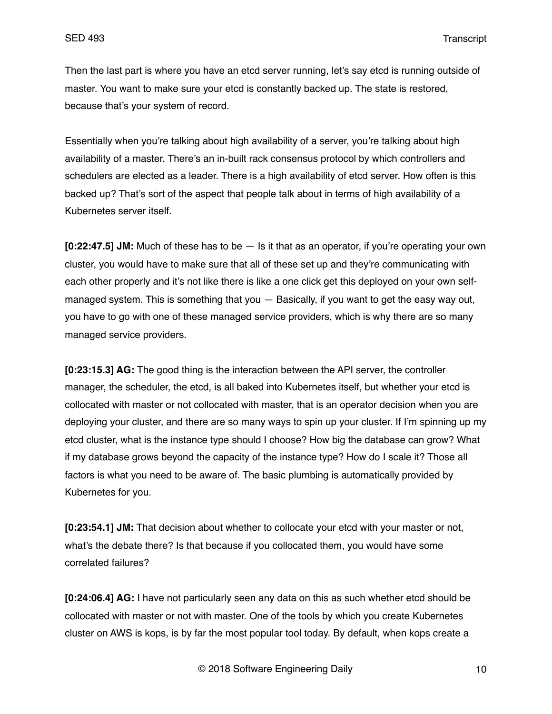Then the last part is where you have an etcd server running, let's say etcd is running outside of master. You want to make sure your etcd is constantly backed up. The state is restored, because that's your system of record.

Essentially when you're talking about high availability of a server, you're talking about high availability of a master. There's an in-built rack consensus protocol by which controllers and schedulers are elected as a leader. There is a high availability of etcd server. How often is this backed up? That's sort of the aspect that people talk about in terms of high availability of a Kubernetes server itself.

**[0:22:47.5] JM:** Much of these has to be — Is it that as an operator, if you're operating your own cluster, you would have to make sure that all of these set up and they're communicating with each other properly and it's not like there is like a one click get this deployed on your own selfmanaged system. This is something that you — Basically, if you want to get the easy way out, you have to go with one of these managed service providers, which is why there are so many managed service providers.

**[0:23:15.3] AG:** The good thing is the interaction between the API server, the controller manager, the scheduler, the etcd, is all baked into Kubernetes itself, but whether your etcd is collocated with master or not collocated with master, that is an operator decision when you are deploying your cluster, and there are so many ways to spin up your cluster. If I'm spinning up my etcd cluster, what is the instance type should I choose? How big the database can grow? What if my database grows beyond the capacity of the instance type? How do I scale it? Those all factors is what you need to be aware of. The basic plumbing is automatically provided by Kubernetes for you.

**[0:23:54.1] JM:** That decision about whether to collocate your etcd with your master or not, what's the debate there? Is that because if you collocated them, you would have some correlated failures?

**[0:24:06.4] AG:** I have not particularly seen any data on this as such whether etcd should be collocated with master or not with master. One of the tools by which you create Kubernetes cluster on AWS is kops, is by far the most popular tool today. By default, when kops create a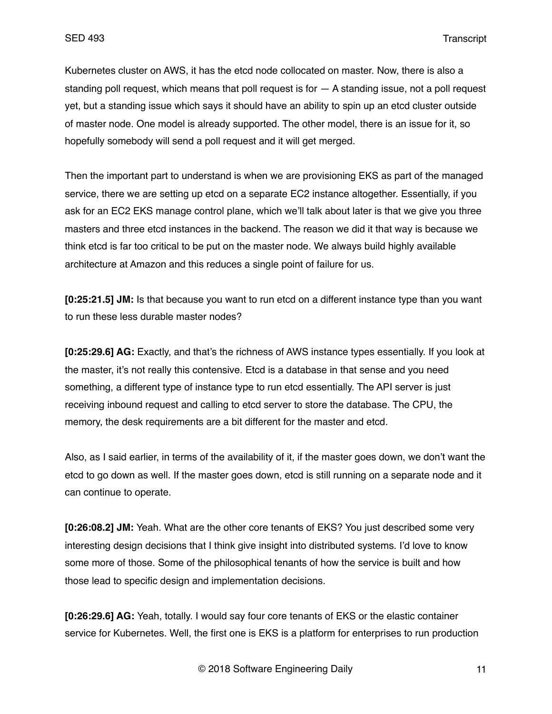Kubernetes cluster on AWS, it has the etcd node collocated on master. Now, there is also a standing poll request, which means that poll request is for — A standing issue, not a poll request yet, but a standing issue which says it should have an ability to spin up an etcd cluster outside of master node. One model is already supported. The other model, there is an issue for it, so hopefully somebody will send a poll request and it will get merged.

Then the important part to understand is when we are provisioning EKS as part of the managed service, there we are setting up etcd on a separate EC2 instance altogether. Essentially, if you ask for an EC2 EKS manage control plane, which we'll talk about later is that we give you three masters and three etcd instances in the backend. The reason we did it that way is because we think etcd is far too critical to be put on the master node. We always build highly available architecture at Amazon and this reduces a single point of failure for us.

**[0:25:21.5] JM:** Is that because you want to run etcd on a different instance type than you want to run these less durable master nodes?

**[0:25:29.6] AG:** Exactly, and that's the richness of AWS instance types essentially. If you look at the master, it's not really this contensive. Etcd is a database in that sense and you need something, a different type of instance type to run etcd essentially. The API server is just receiving inbound request and calling to etcd server to store the database. The CPU, the memory, the desk requirements are a bit different for the master and etcd.

Also, as I said earlier, in terms of the availability of it, if the master goes down, we don't want the etcd to go down as well. If the master goes down, etcd is still running on a separate node and it can continue to operate.

**[0:26:08.2] JM:** Yeah. What are the other core tenants of EKS? You just described some very interesting design decisions that I think give insight into distributed systems. I'd love to know some more of those. Some of the philosophical tenants of how the service is built and how those lead to specific design and implementation decisions.

**[0:26:29.6] AG:** Yeah, totally. I would say four core tenants of EKS or the elastic container service for Kubernetes. Well, the first one is EKS is a platform for enterprises to run production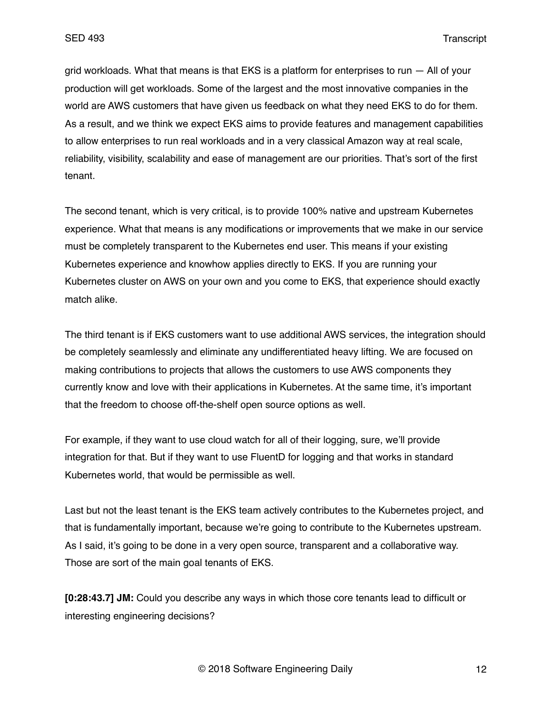grid workloads. What that means is that EKS is a platform for enterprises to run — All of your production will get workloads. Some of the largest and the most innovative companies in the world are AWS customers that have given us feedback on what they need EKS to do for them. As a result, and we think we expect EKS aims to provide features and management capabilities to allow enterprises to run real workloads and in a very classical Amazon way at real scale, reliability, visibility, scalability and ease of management are our priorities. That's sort of the first tenant.

The second tenant, which is very critical, is to provide 100% native and upstream Kubernetes experience. What that means is any modifications or improvements that we make in our service must be completely transparent to the Kubernetes end user. This means if your existing Kubernetes experience and knowhow applies directly to EKS. If you are running your Kubernetes cluster on AWS on your own and you come to EKS, that experience should exactly match alike.

The third tenant is if EKS customers want to use additional AWS services, the integration should be completely seamlessly and eliminate any undifferentiated heavy lifting. We are focused on making contributions to projects that allows the customers to use AWS components they currently know and love with their applications in Kubernetes. At the same time, it's important that the freedom to choose off-the-shelf open source options as well.

For example, if they want to use cloud watch for all of their logging, sure, we'll provide integration for that. But if they want to use FluentD for logging and that works in standard Kubernetes world, that would be permissible as well.

Last but not the least tenant is the EKS team actively contributes to the Kubernetes project, and that is fundamentally important, because we're going to contribute to the Kubernetes upstream. As I said, it's going to be done in a very open source, transparent and a collaborative way. Those are sort of the main goal tenants of EKS.

**[0:28:43.7] JM:** Could you describe any ways in which those core tenants lead to difficult or interesting engineering decisions?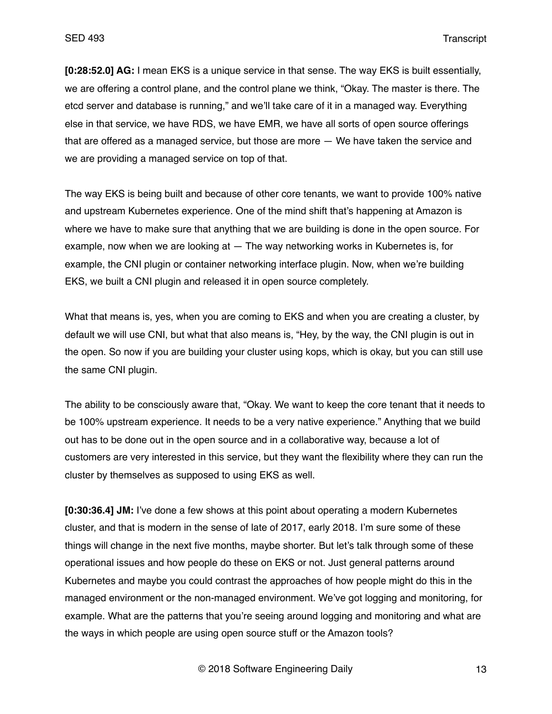**[0:28:52.0] AG:** I mean EKS is a unique service in that sense. The way EKS is built essentially, we are offering a control plane, and the control plane we think, "Okay. The master is there. The etcd server and database is running," and we'll take care of it in a managed way. Everything else in that service, we have RDS, we have EMR, we have all sorts of open source offerings that are offered as a managed service, but those are more — We have taken the service and we are providing a managed service on top of that.

The way EKS is being built and because of other core tenants, we want to provide 100% native and upstream Kubernetes experience. One of the mind shift that's happening at Amazon is where we have to make sure that anything that we are building is done in the open source. For example, now when we are looking at — The way networking works in Kubernetes is, for example, the CNI plugin or container networking interface plugin. Now, when we're building EKS, we built a CNI plugin and released it in open source completely.

What that means is, yes, when you are coming to EKS and when you are creating a cluster, by default we will use CNI, but what that also means is, "Hey, by the way, the CNI plugin is out in the open. So now if you are building your cluster using kops, which is okay, but you can still use the same CNI plugin.

The ability to be consciously aware that, "Okay. We want to keep the core tenant that it needs to be 100% upstream experience. It needs to be a very native experience." Anything that we build out has to be done out in the open source and in a collaborative way, because a lot of customers are very interested in this service, but they want the flexibility where they can run the cluster by themselves as supposed to using EKS as well.

**[0:30:36.4] JM:** I've done a few shows at this point about operating a modern Kubernetes cluster, and that is modern in the sense of late of 2017, early 2018. I'm sure some of these things will change in the next five months, maybe shorter. But let's talk through some of these operational issues and how people do these on EKS or not. Just general patterns around Kubernetes and maybe you could contrast the approaches of how people might do this in the managed environment or the non-managed environment. We've got logging and monitoring, for example. What are the patterns that you're seeing around logging and monitoring and what are the ways in which people are using open source stuff or the Amazon tools?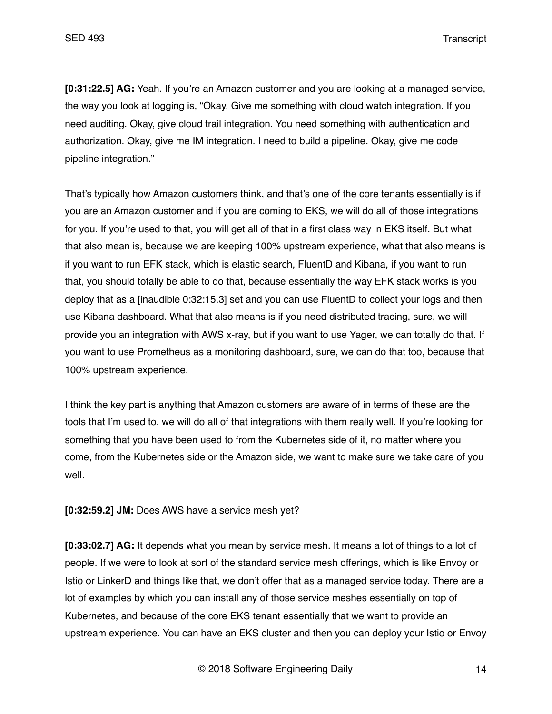**[0:31:22.5] AG:** Yeah. If you're an Amazon customer and you are looking at a managed service, the way you look at logging is, "Okay. Give me something with cloud watch integration. If you need auditing. Okay, give cloud trail integration. You need something with authentication and authorization. Okay, give me IM integration. I need to build a pipeline. Okay, give me code pipeline integration."

That's typically how Amazon customers think, and that's one of the core tenants essentially is if you are an Amazon customer and if you are coming to EKS, we will do all of those integrations for you. If you're used to that, you will get all of that in a first class way in EKS itself. But what that also mean is, because we are keeping 100% upstream experience, what that also means is if you want to run EFK stack, which is elastic search, FluentD and Kibana, if you want to run that, you should totally be able to do that, because essentially the way EFK stack works is you deploy that as a [inaudible 0:32:15.3] set and you can use FluentD to collect your logs and then use Kibana dashboard. What that also means is if you need distributed tracing, sure, we will provide you an integration with AWS x-ray, but if you want to use Yager, we can totally do that. If you want to use Prometheus as a monitoring dashboard, sure, we can do that too, because that 100% upstream experience.

I think the key part is anything that Amazon customers are aware of in terms of these are the tools that I'm used to, we will do all of that integrations with them really well. If you're looking for something that you have been used to from the Kubernetes side of it, no matter where you come, from the Kubernetes side or the Amazon side, we want to make sure we take care of you well.

**[0:32:59.2] JM:** Does AWS have a service mesh yet?

**[0:33:02.7] AG:** It depends what you mean by service mesh. It means a lot of things to a lot of people. If we were to look at sort of the standard service mesh offerings, which is like Envoy or Istio or LinkerD and things like that, we don't offer that as a managed service today. There are a lot of examples by which you can install any of those service meshes essentially on top of Kubernetes, and because of the core EKS tenant essentially that we want to provide an upstream experience. You can have an EKS cluster and then you can deploy your Istio or Envoy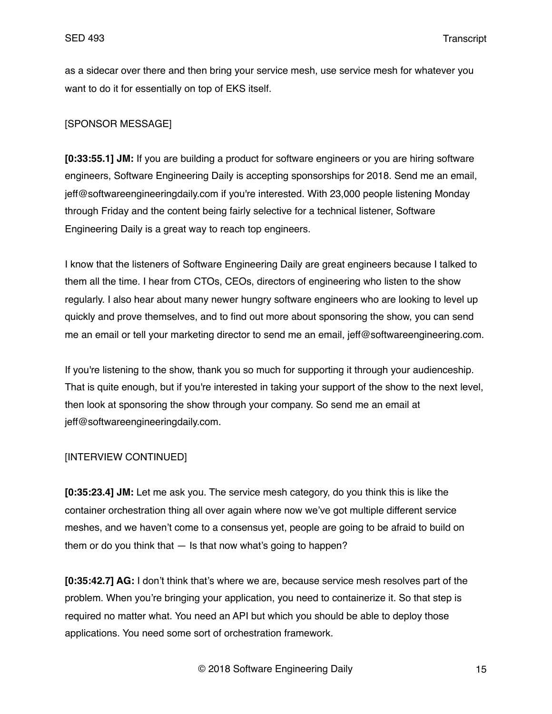as a sidecar over there and then bring your service mesh, use service mesh for whatever you want to do it for essentially on top of EKS itself.

# [SPONSOR MESSAGE]

**[0:33:55.1] JM:** If you are building a product for software engineers or you are hiring software engineers, Software Engineering Daily is accepting sponsorships for 2018. Send me an email, jeff@softwareengineeringdaily.com if you're interested. With 23,000 people listening Monday through Friday and the content being fairly selective for a technical listener, Software Engineering Daily is a great way to reach top engineers.

I know that the listeners of Software Engineering Daily are great engineers because I talked to them all the time. I hear from CTOs, CEOs, directors of engineering who listen to the show regularly. I also hear about many newer hungry software engineers who are looking to level up quickly and prove themselves, and to find out more about sponsoring the show, you can send me an email or tell your marketing director to send me an email, jeff@softwareengineering.com.

If you're listening to the show, thank you so much for supporting it through your audienceship. That is quite enough, but if you're interested in taking your support of the show to the next level, then look at sponsoring the show through your company. So send me an email at jeff@softwareengineeringdaily.com.

# [INTERVIEW CONTINUED]

**[0:35:23.4] JM:** Let me ask you. The service mesh category, do you think this is like the container orchestration thing all over again where now we've got multiple different service meshes, and we haven't come to a consensus yet, people are going to be afraid to build on them or do you think that — Is that now what's going to happen?

**[0:35:42.7] AG:** I don't think that's where we are, because service mesh resolves part of the problem. When you're bringing your application, you need to containerize it. So that step is required no matter what. You need an API but which you should be able to deploy those applications. You need some sort of orchestration framework.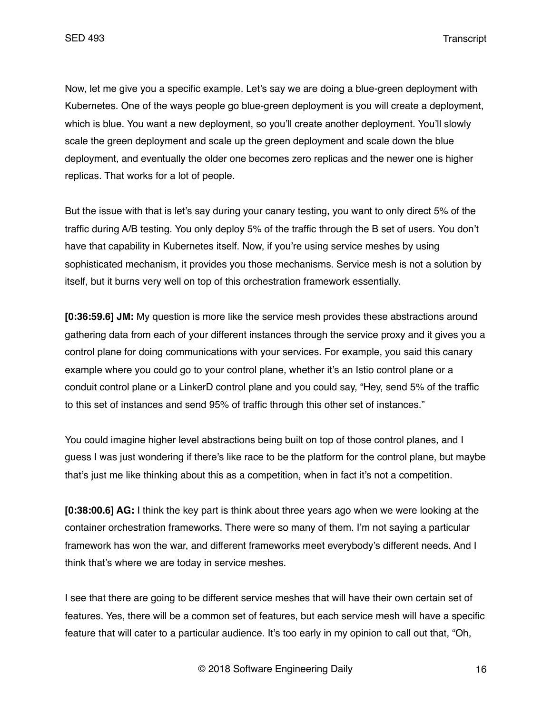Now, let me give you a specific example. Let's say we are doing a blue-green deployment with Kubernetes. One of the ways people go blue-green deployment is you will create a deployment, which is blue. You want a new deployment, so you'll create another deployment. You'll slowly scale the green deployment and scale up the green deployment and scale down the blue deployment, and eventually the older one becomes zero replicas and the newer one is higher replicas. That works for a lot of people.

But the issue with that is let's say during your canary testing, you want to only direct 5% of the traffic during A/B testing. You only deploy 5% of the traffic through the B set of users. You don't have that capability in Kubernetes itself. Now, if you're using service meshes by using sophisticated mechanism, it provides you those mechanisms. Service mesh is not a solution by itself, but it burns very well on top of this orchestration framework essentially.

**[0:36:59.6] JM:** My question is more like the service mesh provides these abstractions around gathering data from each of your different instances through the service proxy and it gives you a control plane for doing communications with your services. For example, you said this canary example where you could go to your control plane, whether it's an Istio control plane or a conduit control plane or a LinkerD control plane and you could say, "Hey, send 5% of the traffic to this set of instances and send 95% of traffic through this other set of instances."

You could imagine higher level abstractions being built on top of those control planes, and I guess I was just wondering if there's like race to be the platform for the control plane, but maybe that's just me like thinking about this as a competition, when in fact it's not a competition.

**[0:38:00.6] AG:** I think the key part is think about three years ago when we were looking at the container orchestration frameworks. There were so many of them. I'm not saying a particular framework has won the war, and different frameworks meet everybody's different needs. And I think that's where we are today in service meshes.

I see that there are going to be different service meshes that will have their own certain set of features. Yes, there will be a common set of features, but each service mesh will have a specific feature that will cater to a particular audience. It's too early in my opinion to call out that, "Oh,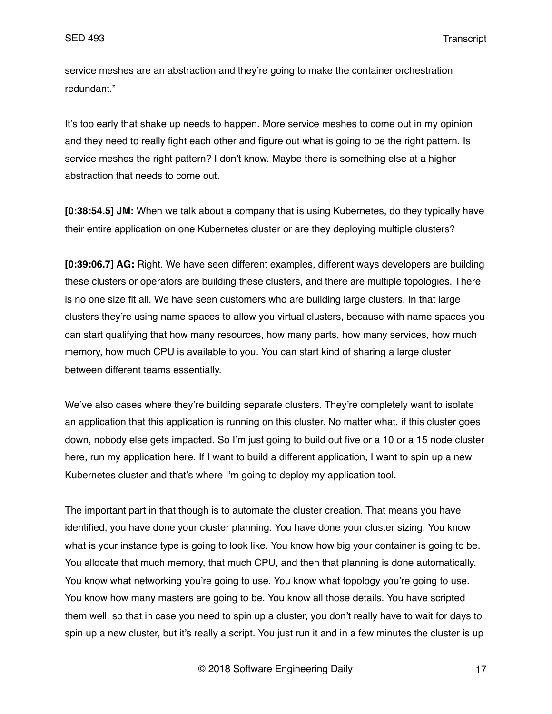service meshes are an abstraction and they're going to make the container orchestration redundant."

It's too early that shake up needs to happen. More service meshes to come out in my opinion and they need to really fight each other and figure out what is going to be the right pattern. Is service meshes the right pattern? I don't know. Maybe there is something else at a higher abstraction that needs to come out.

**[0:38:54.5] JM:** When we talk about a company that is using Kubernetes, do they typically have their entire application on one Kubernetes cluster or are they deploying multiple clusters?

**[0:39:06.7] AG:** Right. We have seen different examples, different ways developers are building these clusters or operators are building these clusters, and there are multiple topologies. There is no one size fit all. We have seen customers who are building large clusters. In that large clusters they're using name spaces to allow you virtual clusters, because with name spaces you can start qualifying that how many resources, how many parts, how many services, how much memory, how much CPU is available to you. You can start kind of sharing a large cluster between different teams essentially.

We've also cases where they're building separate clusters. They're completely want to isolate an application that this application is running on this cluster. No matter what, if this cluster goes down, nobody else gets impacted. So I'm just going to build out five or a 10 or a 15 node cluster here, run my application here. If I want to build a different application, I want to spin up a new Kubernetes cluster and that's where I'm going to deploy my application tool.

The important part in that though is to automate the cluster creation. That means you have identified, you have done your cluster planning. You have done your cluster sizing. You know what is your instance type is going to look like. You know how big your container is going to be. You allocate that much memory, that much CPU, and then that planning is done automatically. You know what networking you're going to use. You know what topology you're going to use. You know how many masters are going to be. You know all those details. You have scripted them well, so that in case you need to spin up a cluster, you don't really have to wait for days to spin up a new cluster, but it's really a script. You just run it and in a few minutes the cluster is up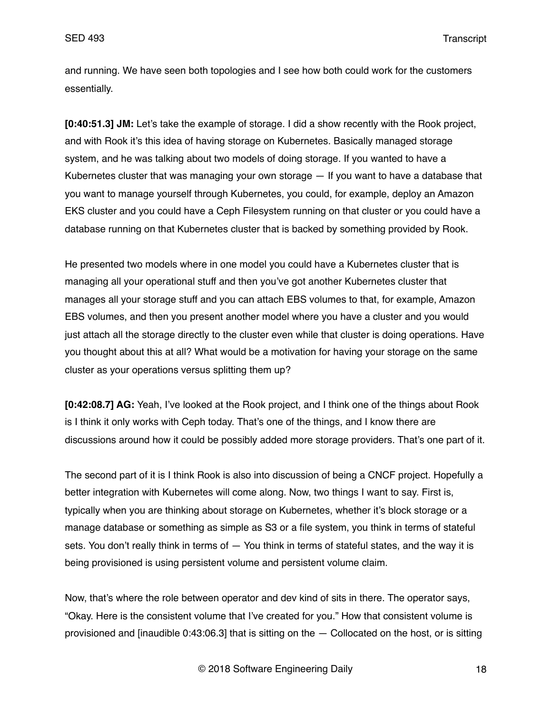and running. We have seen both topologies and I see how both could work for the customers essentially.

**[0:40:51.3] JM:** Let's take the example of storage. I did a show recently with the Rook project, and with Rook it's this idea of having storage on Kubernetes. Basically managed storage system, and he was talking about two models of doing storage. If you wanted to have a Kubernetes cluster that was managing your own storage — If you want to have a database that you want to manage yourself through Kubernetes, you could, for example, deploy an Amazon EKS cluster and you could have a Ceph Filesystem running on that cluster or you could have a database running on that Kubernetes cluster that is backed by something provided by Rook.

He presented two models where in one model you could have a Kubernetes cluster that is managing all your operational stuff and then you've got another Kubernetes cluster that manages all your storage stuff and you can attach EBS volumes to that, for example, Amazon EBS volumes, and then you present another model where you have a cluster and you would just attach all the storage directly to the cluster even while that cluster is doing operations. Have you thought about this at all? What would be a motivation for having your storage on the same cluster as your operations versus splitting them up?

**[0:42:08.7] AG:** Yeah, I've looked at the Rook project, and I think one of the things about Rook is I think it only works with Ceph today. That's one of the things, and I know there are discussions around how it could be possibly added more storage providers. That's one part of it.

The second part of it is I think Rook is also into discussion of being a CNCF project. Hopefully a better integration with Kubernetes will come along. Now, two things I want to say. First is, typically when you are thinking about storage on Kubernetes, whether it's block storage or a manage database or something as simple as S3 or a file system, you think in terms of stateful sets. You don't really think in terms of  $-$  You think in terms of stateful states, and the way it is being provisioned is using persistent volume and persistent volume claim.

Now, that's where the role between operator and dev kind of sits in there. The operator says, "Okay. Here is the consistent volume that I've created for you." How that consistent volume is provisioned and [inaudible 0:43:06.3] that is sitting on the — Collocated on the host, or is sitting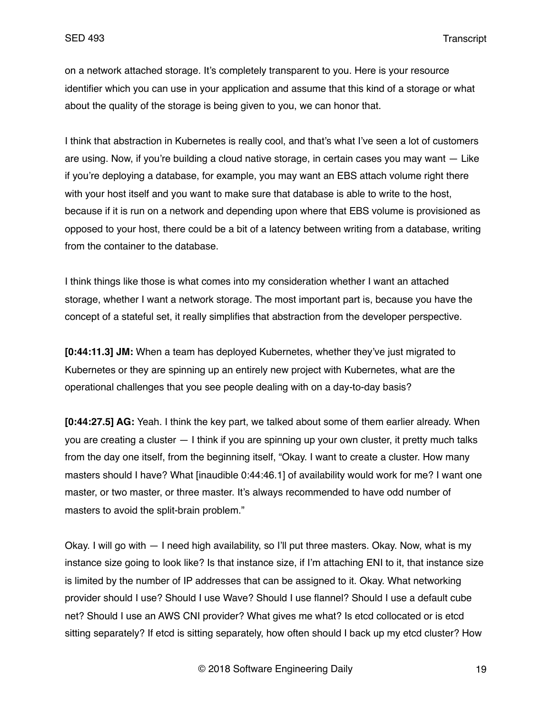on a network attached storage. It's completely transparent to you. Here is your resource identifier which you can use in your application and assume that this kind of a storage or what about the quality of the storage is being given to you, we can honor that.

I think that abstraction in Kubernetes is really cool, and that's what I've seen a lot of customers are using. Now, if you're building a cloud native storage, in certain cases you may want — Like if you're deploying a database, for example, you may want an EBS attach volume right there with your host itself and you want to make sure that database is able to write to the host, because if it is run on a network and depending upon where that EBS volume is provisioned as opposed to your host, there could be a bit of a latency between writing from a database, writing from the container to the database.

I think things like those is what comes into my consideration whether I want an attached storage, whether I want a network storage. The most important part is, because you have the concept of a stateful set, it really simplifies that abstraction from the developer perspective.

**[0:44:11.3] JM:** When a team has deployed Kubernetes, whether they've just migrated to Kubernetes or they are spinning up an entirely new project with Kubernetes, what are the operational challenges that you see people dealing with on a day-to-day basis?

**[0:44:27.5] AG:** Yeah. I think the key part, we talked about some of them earlier already. When you are creating a cluster — I think if you are spinning up your own cluster, it pretty much talks from the day one itself, from the beginning itself, "Okay. I want to create a cluster. How many masters should I have? What [inaudible 0:44:46.1] of availability would work for me? I want one master, or two master, or three master. It's always recommended to have odd number of masters to avoid the split-brain problem."

Okay. I will go with — I need high availability, so I'll put three masters. Okay. Now, what is my instance size going to look like? Is that instance size, if I'm attaching ENI to it, that instance size is limited by the number of IP addresses that can be assigned to it. Okay. What networking provider should I use? Should I use Wave? Should I use flannel? Should I use a default cube net? Should I use an AWS CNI provider? What gives me what? Is etcd collocated or is etcd sitting separately? If etcd is sitting separately, how often should I back up my etcd cluster? How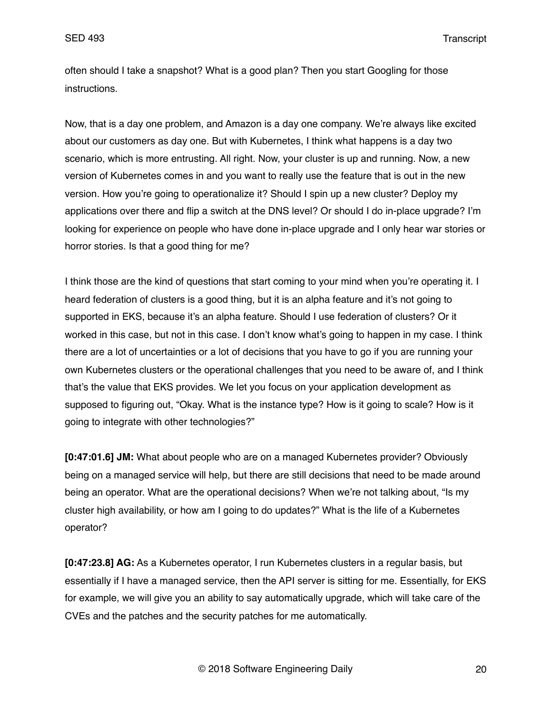often should I take a snapshot? What is a good plan? Then you start Googling for those instructions.

Now, that is a day one problem, and Amazon is a day one company. We're always like excited about our customers as day one. But with Kubernetes, I think what happens is a day two scenario, which is more entrusting. All right. Now, your cluster is up and running. Now, a new version of Kubernetes comes in and you want to really use the feature that is out in the new version. How you're going to operationalize it? Should I spin up a new cluster? Deploy my applications over there and flip a switch at the DNS level? Or should I do in-place upgrade? I'm looking for experience on people who have done in-place upgrade and I only hear war stories or horror stories. Is that a good thing for me?

I think those are the kind of questions that start coming to your mind when you're operating it. I heard federation of clusters is a good thing, but it is an alpha feature and it's not going to supported in EKS, because it's an alpha feature. Should I use federation of clusters? Or it worked in this case, but not in this case. I don't know what's going to happen in my case. I think there are a lot of uncertainties or a lot of decisions that you have to go if you are running your own Kubernetes clusters or the operational challenges that you need to be aware of, and I think that's the value that EKS provides. We let you focus on your application development as supposed to figuring out, "Okay. What is the instance type? How is it going to scale? How is it going to integrate with other technologies?"

**[0:47:01.6] JM:** What about people who are on a managed Kubernetes provider? Obviously being on a managed service will help, but there are still decisions that need to be made around being an operator. What are the operational decisions? When we're not talking about, "Is my cluster high availability, or how am I going to do updates?" What is the life of a Kubernetes operator?

**[0:47:23.8] AG:** As a Kubernetes operator, I run Kubernetes clusters in a regular basis, but essentially if I have a managed service, then the API server is sitting for me. Essentially, for EKS for example, we will give you an ability to say automatically upgrade, which will take care of the CVEs and the patches and the security patches for me automatically.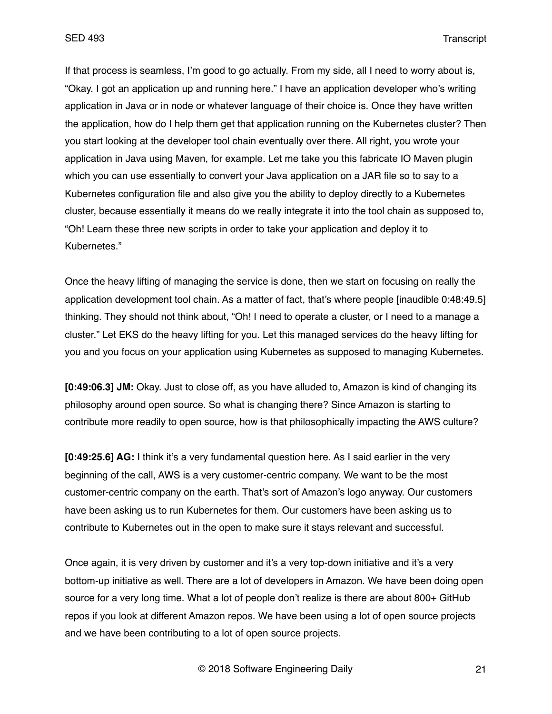If that process is seamless, I'm good to go actually. From my side, all I need to worry about is, "Okay. I got an application up and running here." I have an application developer who's writing application in Java or in node or whatever language of their choice is. Once they have written the application, how do I help them get that application running on the Kubernetes cluster? Then you start looking at the developer tool chain eventually over there. All right, you wrote your application in Java using Maven, for example. Let me take you this fabricate IO Maven plugin which you can use essentially to convert your Java application on a JAR file so to say to a Kubernetes configuration file and also give you the ability to deploy directly to a Kubernetes cluster, because essentially it means do we really integrate it into the tool chain as supposed to, "Oh! Learn these three new scripts in order to take your application and deploy it to Kubernetes."

Once the heavy lifting of managing the service is done, then we start on focusing on really the application development tool chain. As a matter of fact, that's where people [inaudible 0:48:49.5] thinking. They should not think about, "Oh! I need to operate a cluster, or I need to a manage a cluster." Let EKS do the heavy lifting for you. Let this managed services do the heavy lifting for you and you focus on your application using Kubernetes as supposed to managing Kubernetes.

**[0:49:06.3] JM:** Okay. Just to close off, as you have alluded to, Amazon is kind of changing its philosophy around open source. So what is changing there? Since Amazon is starting to contribute more readily to open source, how is that philosophically impacting the AWS culture?

**[0:49:25.6] AG:** I think it's a very fundamental question here. As I said earlier in the very beginning of the call, AWS is a very customer-centric company. We want to be the most customer-centric company on the earth. That's sort of Amazon's logo anyway. Our customers have been asking us to run Kubernetes for them. Our customers have been asking us to contribute to Kubernetes out in the open to make sure it stays relevant and successful.

Once again, it is very driven by customer and it's a very top-down initiative and it's a very bottom-up initiative as well. There are a lot of developers in Amazon. We have been doing open source for a very long time. What a lot of people don't realize is there are about 800+ GitHub repos if you look at different Amazon repos. We have been using a lot of open source projects and we have been contributing to a lot of open source projects.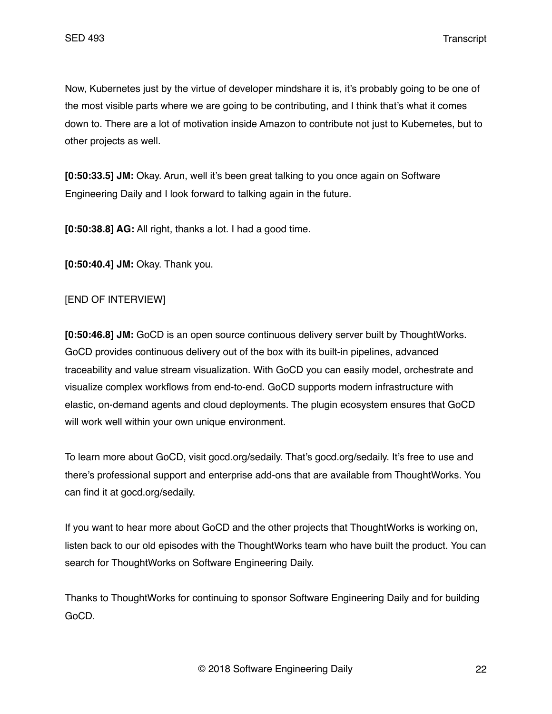Now, Kubernetes just by the virtue of developer mindshare it is, it's probably going to be one of the most visible parts where we are going to be contributing, and I think that's what it comes down to. There are a lot of motivation inside Amazon to contribute not just to Kubernetes, but to other projects as well.

**[0:50:33.5] JM:** Okay. Arun, well it's been great talking to you once again on Software Engineering Daily and I look forward to talking again in the future.

**[0:50:38.8] AG:** All right, thanks a lot. I had a good time.

**[0:50:40.4] JM:** Okay. Thank you.

# [END OF INTERVIEW]

**[0:50:46.8] JM:** GoCD is an open source continuous delivery server built by ThoughtWorks. GoCD provides continuous delivery out of the box with its built-in pipelines, advanced traceability and value stream visualization. With GoCD you can easily model, orchestrate and visualize complex workflows from end-to-end. GoCD supports modern infrastructure with elastic, on-demand agents and cloud deployments. The plugin ecosystem ensures that GoCD will work well within your own unique environment.

To learn more about GoCD, visit gocd.org/sedaily. That's gocd.org/sedaily. It's free to use and there's professional support and enterprise add-ons that are available from ThoughtWorks. You can find it at gocd.org/sedaily.

If you want to hear more about GoCD and the other projects that ThoughtWorks is working on, listen back to our old episodes with the ThoughtWorks team who have built the product. You can search for ThoughtWorks on Software Engineering Daily.

Thanks to ThoughtWorks for continuing to sponsor Software Engineering Daily and for building GoCD.